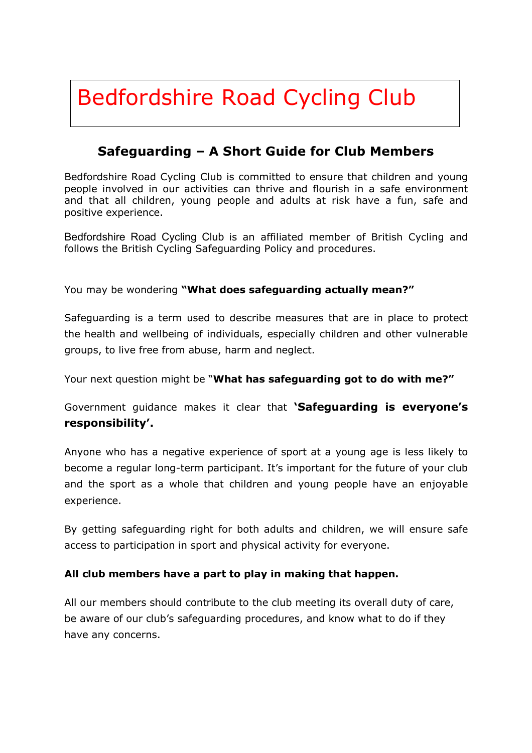# Bedfordshire Road Cycling Club

# **Safeguarding – A Short Guide for Club Members**

Bedfordshire Road Cycling Club is committed to ensure that children and young people involved in our activities can thrive and flourish in a safe environment and that all children, young people and adults at risk have a fun, safe and positive experience.

Bedfordshire Road Cycling Club is an affiliated member of British Cycling and follows the British Cycling Safeguarding Policy and procedures.

You may be wondering **"What does safeguarding actually mean?"**

Safeguarding is a term used to describe measures that are in place to protect the health and wellbeing of individuals, especially children and other vulnerable groups, to live free from abuse, harm and neglect.

Your next question might be "**What has safeguarding got to do with me?"**

Government guidance makes it clear that **'Safeguarding is everyone's responsibility'.**

Anyone who has a negative experience of sport at a young age is less likely to become a regular long-term participant. It's important for the future of your club and the sport as a whole that children and young people have an enjoyable experience.

By getting safeguarding right for both adults and children, we will ensure safe access to participation in sport and physical activity for everyone.

## **All club members have a part to play in making that happen.**

All our members should contribute to the club meeting its overall duty of care, be aware of our club's safeguarding procedures, and know what to do if they have any concerns.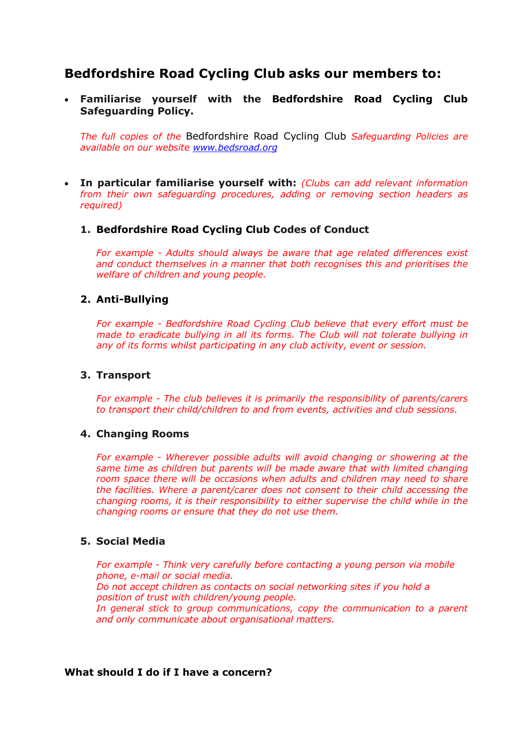# **Bedfordshire Road Cycling Club asks our members to:**

 **Familiarise yourself with the Bedfordshire Road Cycling Club Safeguarding Policy.** 

*The full copies of the* Bedfordshire Road Cycling Club *Safeguarding Policies are available on our website [www.bedsroad.org](http://www.bedsroad.org)*

 **In particular familiarise yourself with:** *(Clubs can add relevant information from their own safeguarding procedures, adding or removing section headers as required)*

#### **1. Bedfordshire Road Cycling Club Codes of Conduct**

*For example - Adults should always be aware that age related differences exist and conduct themselves in a manner that both recognises this and prioritises the welfare of children and young people.*

#### **2. Anti-Bullying**

*For example - Bedfordshire Road Cycling Club believe that every effort must be made to eradicate bullying in all its forms. The Club will not tolerate bullying in any of its forms whilst participating in any club activity, event or session.*

#### **3. Transport**

*For example - The club believes it is primarily the responsibility of parents/carers to transport their child/children to and from events, activities and club sessions.*

#### **4. Changing Rooms**

*For example - Wherever possible adults will avoid changing or showering at the same time as children but parents will be made aware that with limited changing*  room space there will be occasions when adults and children may need to share *the facilities. Where a parent/carer does not consent to their child accessing the changing rooms, it is their responsibility to either supervise the child while in the changing rooms or ensure that they do not use them.* 

#### **5. Social Media**

*For example - Think very carefully before contacting a young person via mobile phone, e-mail or social media. Do not accept children as contacts on social networking sites if you hold a position of trust with children/young people. In general stick to group communications, copy the communication to a parent and only communicate about organisational matters.*

#### **What should I do if I have a concern?**